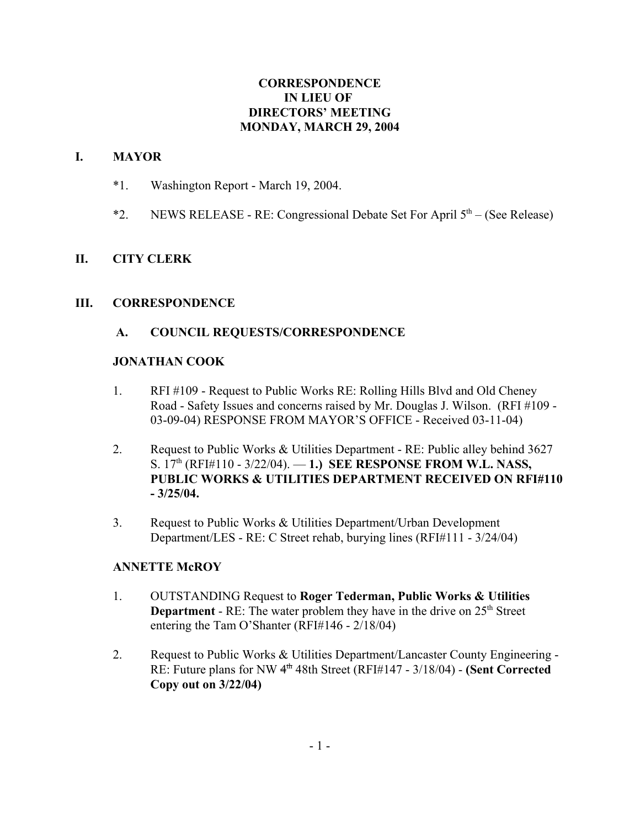#### **CORRESPONDENCE IN LIEU OF DIRECTORS' MEETING MONDAY, MARCH 29, 2004**

## **I. MAYOR**

- \*1. Washington Report March 19, 2004.
- \*2. NEWS RELEASE RE: Congressional Debate Set For April  $5<sup>th</sup>$  (See Release)

## **II. CITY CLERK**

#### **III. CORRESPONDENCE**

## **A. COUNCIL REQUESTS/CORRESPONDENCE**

#### **JONATHAN COOK**

- 1. RFI #109 Request to Public Works RE: Rolling Hills Blvd and Old Cheney Road - Safety Issues and concerns raised by Mr. Douglas J. Wilson. (RFI #109 - 03-09-04) RESPONSE FROM MAYOR'S OFFICE - Received 03-11-04)
- 2. Request to Public Works & Utilities Department RE: Public alley behind 3627 S. 17th (RFI#110 - 3/22/04). — **1.) SEE RESPONSE FROM W.L. NASS, PUBLIC WORKS & UTILITIES DEPARTMENT RECEIVED ON RFI#110 - 3/25/04.**
- 3. Request to Public Works & Utilities Department/Urban Development Department/LES - RE: C Street rehab, burying lines (RFI#111 - 3/24/04)

#### **ANNETTE McROY**

- 1. OUTSTANDING Request to **Roger Tederman, Public Works & Utilities Department** - RE: The water problem they have in the drive on 25<sup>th</sup> Street entering the Tam O'Shanter (RFI#146 - 2/18/04)
- 2. Request to Public Works & Utilities Department/Lancaster County Engineering RE: Future plans for NW 4th 48th Street (RFI#147 - 3/18/04) - **(Sent Corrected Copy out on 3/22/04)**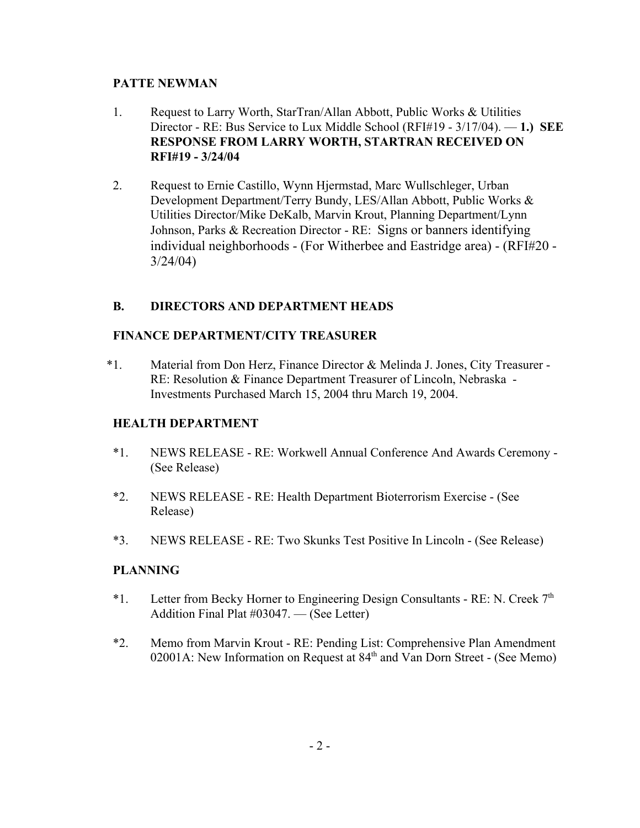## **PATTE NEWMAN**

- 1. Request to Larry Worth, StarTran/Allan Abbott, Public Works & Utilities Director - RE: Bus Service to Lux Middle School (RFI#19 - 3/17/04). — **1.) SEE RESPONSE FROM LARRY WORTH, STARTRAN RECEIVED ON RFI#19 - 3/24/04**
- 2. Request to Ernie Castillo, Wynn Hjermstad, Marc Wullschleger, Urban Development Department/Terry Bundy, LES/Allan Abbott, Public Works & Utilities Director/Mike DeKalb, Marvin Krout, Planning Department/Lynn Johnson, Parks & Recreation Director - RE: Signs or banners identifying individual neighborhoods - (For Witherbee and Eastridge area) - (RFI#20 - 3/24/04)

# **B. DIRECTORS AND DEPARTMENT HEADS**

# **FINANCE DEPARTMENT/CITY TREASURER**

\*1. Material from Don Herz, Finance Director & Melinda J. Jones, City Treasurer - RE: Resolution & Finance Department Treasurer of Lincoln, Nebraska - Investments Purchased March 15, 2004 thru March 19, 2004.

## **HEALTH DEPARTMENT**

- \*1. NEWS RELEASE RE: Workwell Annual Conference And Awards Ceremony (See Release)
- \*2. NEWS RELEASE RE: Health Department Bioterrorism Exercise (See Release)
- \*3. NEWS RELEASE RE: Two Skunks Test Positive In Lincoln (See Release)

# **PLANNING**

- \*1. Letter from Becky Horner to Engineering Design Consultants RE: N. Creek  $7<sup>th</sup>$ Addition Final Plat #03047. — (See Letter)
- \*2. Memo from Marvin Krout RE: Pending List: Comprehensive Plan Amendment 02001A: New Information on Request at  $84<sup>th</sup>$  and Van Dorn Street - (See Memo)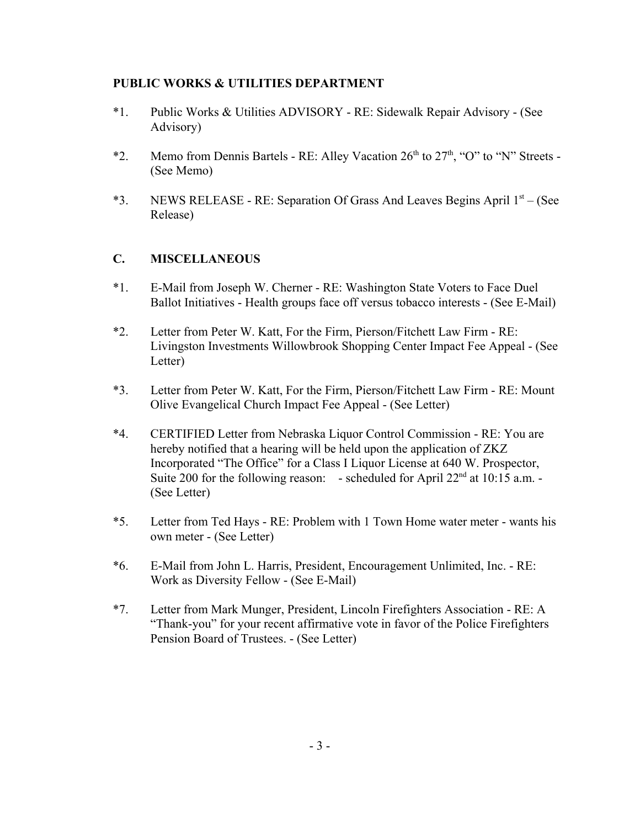### **PUBLIC WORKS & UTILITIES DEPARTMENT**

- \*1. Public Works & Utilities ADVISORY RE: Sidewalk Repair Advisory (See Advisory)
- \*2. Memo from Dennis Bartels RE: Alley Vacation  $26<sup>th</sup>$  to  $27<sup>th</sup>$ , "O" to "N" Streets -(See Memo)
- \*3. NEWS RELEASE RE: Separation Of Grass And Leaves Begins April  $1<sup>st</sup> -$  (See Release)

# **C. MISCELLANEOUS**

- \*1. E-Mail from Joseph W. Cherner RE: Washington State Voters to Face Duel Ballot Initiatives - Health groups face off versus tobacco interests - (See E-Mail)
- \*2. Letter from Peter W. Katt, For the Firm, Pierson/Fitchett Law Firm RE: Livingston Investments Willowbrook Shopping Center Impact Fee Appeal - (See Letter)
- \*3. Letter from Peter W. Katt, For the Firm, Pierson/Fitchett Law Firm RE: Mount Olive Evangelical Church Impact Fee Appeal - (See Letter)
- \*4. CERTIFIED Letter from Nebraska Liquor Control Commission RE: You are hereby notified that a hearing will be held upon the application of ZKZ Incorporated "The Office" for a Class I Liquor License at 640 W. Prospector, Suite 200 for the following reason: - scheduled for April  $22<sup>nd</sup>$  at 10:15 a.m. -(See Letter)
- \*5. Letter from Ted Hays RE: Problem with 1 Town Home water meter wants his own meter - (See Letter)
- \*6. E-Mail from John L. Harris, President, Encouragement Unlimited, Inc. RE: Work as Diversity Fellow - (See E-Mail)
- \*7. Letter from Mark Munger, President, Lincoln Firefighters Association RE: A "Thank-you" for your recent affirmative vote in favor of the Police Firefighters Pension Board of Trustees. - (See Letter)